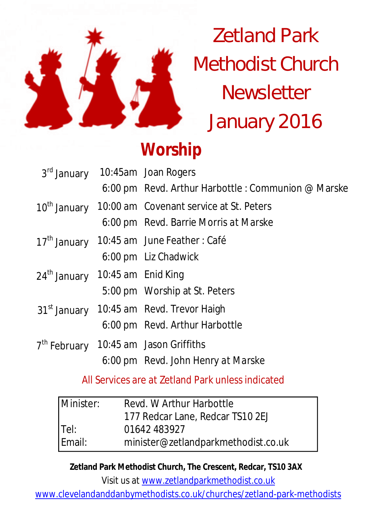

Zetland Park Methodist Church **Newsletter** January 2016

# **Worship**

|                                 |  | 3rd January 10:45am Joan Rogers                      |  |
|---------------------------------|--|------------------------------------------------------|--|
|                                 |  | 6:00 pm Revd. Arthur Harbottle : Communion @ Marske  |  |
| 10 <sup>th</sup> January        |  | 10:00 am Covenant service at St. Peters              |  |
|                                 |  | 6:00 pm Revd. Barrie Morris at Marske                |  |
| 17 <sup>th</sup> January        |  | 10:45 am June Feather: Café                          |  |
|                                 |  | 6:00 pm Liz Chadwick                                 |  |
| 24th January 10:45 am Enid King |  |                                                      |  |
|                                 |  | 5:00 pm Worship at St. Peters                        |  |
|                                 |  | 31 <sup>st</sup> January 10:45 am Revd. Trevor Haigh |  |
|                                 |  | 6:00 pm Revd. Arthur Harbottle                       |  |
|                                 |  | 7 <sup>th</sup> February 10:45 am Jason Griffiths    |  |
|                                 |  | 6:00 pm Revd. John Henry at Marske                   |  |

All Services are at Zetland Park unless indicated

| Minister: | Revd. W Arthur Harbottle            |  |
|-----------|-------------------------------------|--|
|           | 177 Redcar Lane, Redcar TS10 2EJ    |  |
| Tel:      | 01642 483927                        |  |
| Email:    | minister@zetlandparkmethodist.co.uk |  |

**Zetland Park Methodist Church, The Crescent, Redcar, TS10 3AX**

Visit us at www.zetlandparkmethodist.co.uk

www.clevelandanddanbymethodists.co.uk/churches/zetland-park-methodists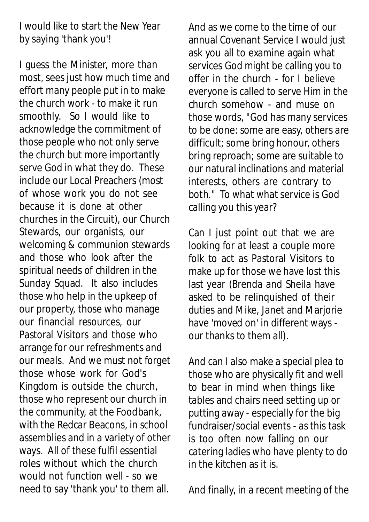I would like to start the New Year by saying 'thank you'!

I guess the Minister, more than most, sees just how much time and effort many people put in to make the church work - to make it run smoothly. So I would like to acknowledge the commitment of those people who not only serve the church but more importantly serve God in what they do. These include our Local Preachers (most of whose work you do not see because it is done at other churches in the Circuit), our Church Stewards, our organists, our welcoming & communion stewards and those who look after the spiritual needs of children in the Sunday Squad. It also includes those who help in the upkeep of our property, those who manage our financial resources, our Pastoral Visitors and those who arrange for our refreshments and our meals. And we must not forget those whose work for God's Kingdom is outside the church, those who represent our church in the community, at the Foodbank, with the Redcar Beacons, in school assemblies and in a variety of other ways. All of these fulfil essential roles without which the church would not function well - so we need to say 'thank you' to them all.

And as we come to the time of our annual Covenant Service I would just ask you all to examine again what services God might be calling you to offer in the church - for I believe everyone is called to serve Him in the church somehow - and muse on those words, "God has many services to be done: some are easy, others are difficult; some bring honour, others bring reproach; some are suitable to our natural inclinations and material interests, others are contrary to both." To what what service is God calling you this year?

Can I just point out that we are looking for at least a couple more folk to act as Pastoral Visitors to make up for those we have lost this last year (Brenda and Sheila have asked to be relinquished of their duties and Mike, Janet and Marjorie have 'moved on' in different ways our thanks to them all).

And can I also make a special plea to those who are physically fit and well to bear in mind when things like tables and chairs need setting up or putting away - especially for the big fundraiser/social events - as this task is too often now falling on our catering ladies who have plenty to do in the kitchen as it is.

And finally, in a recent meeting of the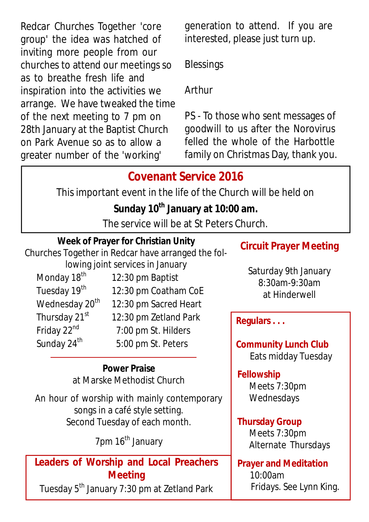Redcar Churches Together 'core group' the idea was hatched of inviting more people from our churches to attend our meetings so as to breathe fresh life and inspiration into the activities we arrange. We have tweaked the time of the next meeting to 7 pm on 28th January at the Baptist Church on Park Avenue so as to allow a greater number of the 'working'

generation to attend. If you are interested, please just turn up.

**Blessings** 

Arthur

PS - To those who sent messages of goodwill to us after the Norovirus felled the whole of the Harbottle family on Christmas Day, thank you.

## **Covenant Service 2016**

This important event in the life of the Church will be held on

### **Sunday 10th January at 10:00 am.**

The service will be at St Peters Church.

#### **Week of Prayer for Christian Unity**

Churches Together in Redcar have arranged the fol-

lowing joint services in January Monday  $18<sup>th</sup>$  12:30 pm Baptist Tuesday  $19<sup>th</sup>$  12:30 pm Coatham CoE Wednesday  $20<sup>th</sup>$  12:30 pm Sacred Heart Thursday  $21<sup>st</sup>$  12:30 pm Zetland Park Friday 22<sup>nd</sup> 7:00 pm St. Hilders Sunday  $24<sup>th</sup>$  5:00 pm St. Peters

#### **Power Praise** at Marske Methodist Church

An hour of worship with mainly contemporary songs in a café style setting. Second Tuesday of each month.

7pm 16<sup>th</sup> January

#### **Leaders of Worship and Local Preachers Meeting**

Tuesday 5<sup>th</sup> January 7:30 pm at Zetland Park

## **Circuit Prayer Meeting**

Saturday 9th January 8:30am-9:30am at Hinderwell

**Regulars . . .**

**Community Lunch Club** Eats midday Tuesday

#### **Fellowship**

Meets 7:30pm Wednesdays

#### **Thursday Group**

Meets 7:30pm Alternate Thursdays

#### **Prayer and Meditation**  10:00am Fridays. See Lynn King.